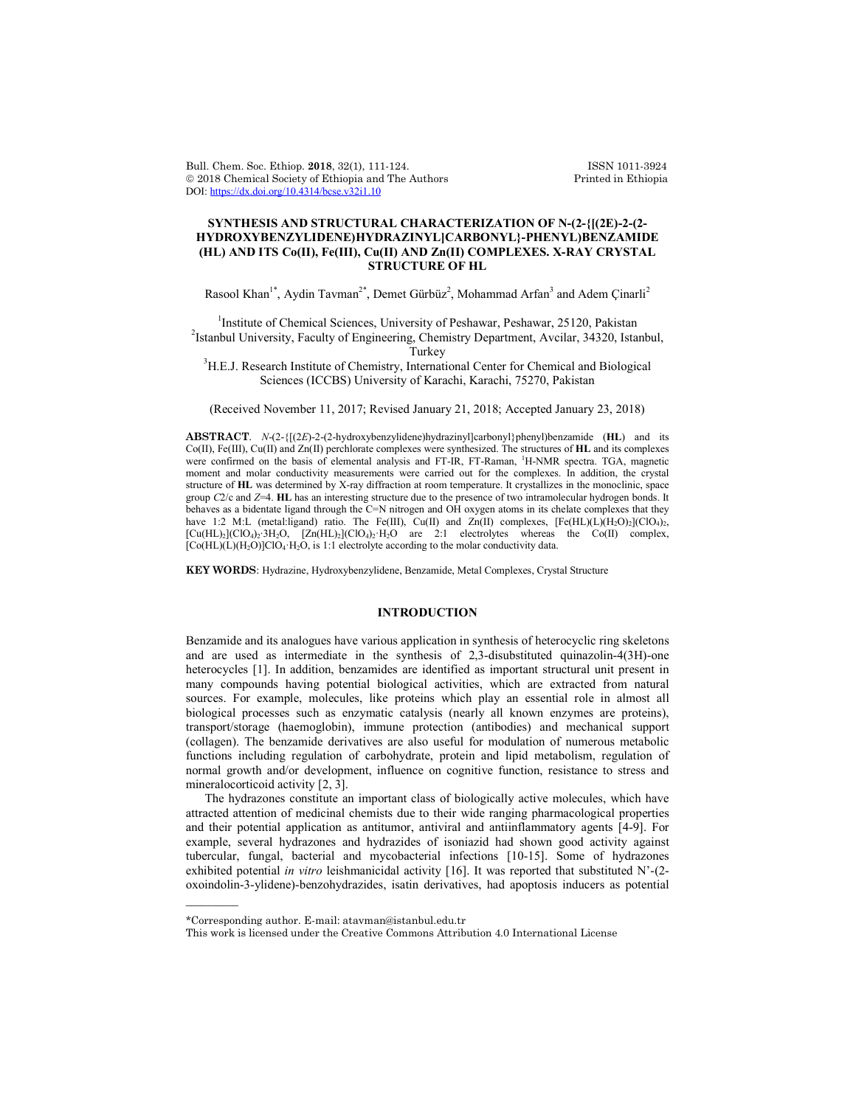Bull. Chem. Soc. Ethiop. 2018, 32(1), 111-124. ISSN 1011-3924<br>
© 2018 Chemical Society of Ethiopia and The Authors Printed in Ethiopia  $© 2018$  Chemical Society of Ethiopia and The Authors DOI: https://dx.doi.org/10.4314/bcse.v32i1.10

## **SYNTHESIS AND STRUCTURAL CHARACTERIZATION OF N-(2-{[(2E)-2-(2- HYDROXYBENZYLIDENE)HYDRAZINYL]CARBONYL}-PHENYL)BENZAMIDE (HL) AND ITS Co(II), Fe(III), Cu(II) AND Zn(II) COMPLEXES. X-RAY CRYSTAL STRUCTURE OF HL**

Rasool Khan<sup>1\*</sup>, Aydin Tavman<sup>2\*</sup>, Demet Gürbüz<sup>2</sup>, Mohammad Arfan<sup>3</sup> and Adem Çinarli<sup>2</sup>

<sup>1</sup>Institute of Chemical Sciences, University of Peshawar, Peshawar, 25120, Pakistan <sup>2</sup> <sup>2</sup>Istanbul University, Faculty of Engineering, Chemistry Department, Avcilar, 34320, Istanbul,

Turkey<br><sup>3</sup>H.E.J. Research Institute of Chemistry, International Center for Chemical and Biological Sciences (ICCBS) University of Karachi, Karachi, 75270, Pakistan

(Received November 11, 2017; Revised January 21, 2018; Accepted January 23, 2018)

**ABSTRACT**. *N*-(2-{[(2*E*)-2-(2-hydroxybenzylidene)hydrazinyl]carbonyl}phenyl)benzamide (**HL**) and its Co(II), Fe(III), Cu(II) and Zn(II) perchlorate complexes were synthesized. The structures of **HL** and its complexes were confirmed on the basis of elemental analysis and FT-IR, FT-Raman, <sup>1</sup> H-NMR spectra. TGA, magnetic moment and molar conductivity measurements were carried out for the complexes. In addition, the crystal structure of **HL** was determined by X-ray diffraction at room temperature. It crystallizes in the monoclinic, space group *C*2/c and *Z*=4. **HL** has an interesting structure due to the presence of two intramolecular hydrogen bonds. It behaves as a bidentate ligand through the C=N nitrogen and OH oxygen atoms in its chelate complexes that they have 1:2 M:L (metal:ligand) ratio. The Fe(III), Cu(II) and Zn(II) complexes,  $[Fe(HL)(L)(H<sub>2</sub>O)<sub>2</sub>](ClO<sub>4</sub>)<sub>2</sub>$ , [Cu(HL)2](ClO4)2∙3H2O, [Zn(HL)2](ClO4)2·H2O are 2:1 electrolytes whereas the Co(II) complex,  $[Co(HL)(L)(H<sub>2</sub>O)]ClO<sub>4</sub>·H<sub>2</sub>O$ , is 1:1 electrolyte according to the molar conductivity data.

**KEY WORDS**: Hydrazine, Hydroxybenzylidene, Benzamide, Metal Complexes, Crystal Structure

### **INTRODUCTION**

Benzamide and its analogues have various application in synthesis of heterocyclic ring skeletons and are used as intermediate in the synthesis of 2,3-disubstituted quinazolin-4(3H)-one heterocycles [1]. In addition, benzamides are identified as important structural unit present in many compounds having potential biological activities, which are extracted from natural sources. For example, molecules, like proteins which play an essential role in almost all biological processes such as enzymatic catalysis (nearly all known enzymes are proteins), transport/storage (haemoglobin), immune protection (antibodies) and mechanical support (collagen). The benzamide derivatives are also useful for modulation of numerous metabolic functions including regulation of carbohydrate, protein and lipid metabolism, regulation of normal growth and/or development, influence on cognitive function, resistance to stress and mineralocorticoid activity [2, 3].

The hydrazones constitute an important class of biologically active molecules, which have attracted attention of medicinal chemists due to their wide ranging pharmacological properties and their potential application as antitumor, antiviral and antiinflammatory agents [4-9]. For example, several hydrazones and hydrazides of isoniazid had shown good activity against tubercular, fungal, bacterial and mycobacterial infections [10-15]. Some of hydrazones exhibited potential *in vitro* leishmanicidal activity [16]. It was reported that substituted N'-(2 oxoindolin-3-ylidene)-benzohydrazides, isatin derivatives, had apoptosis inducers as potential

 $\overline{\phantom{a}}$ 

<sup>\*</sup>Corresponding author. E-mail: atavman@istanbul.edu.tr

This work is licensed under the Creative Commons Attribution 4.0 International License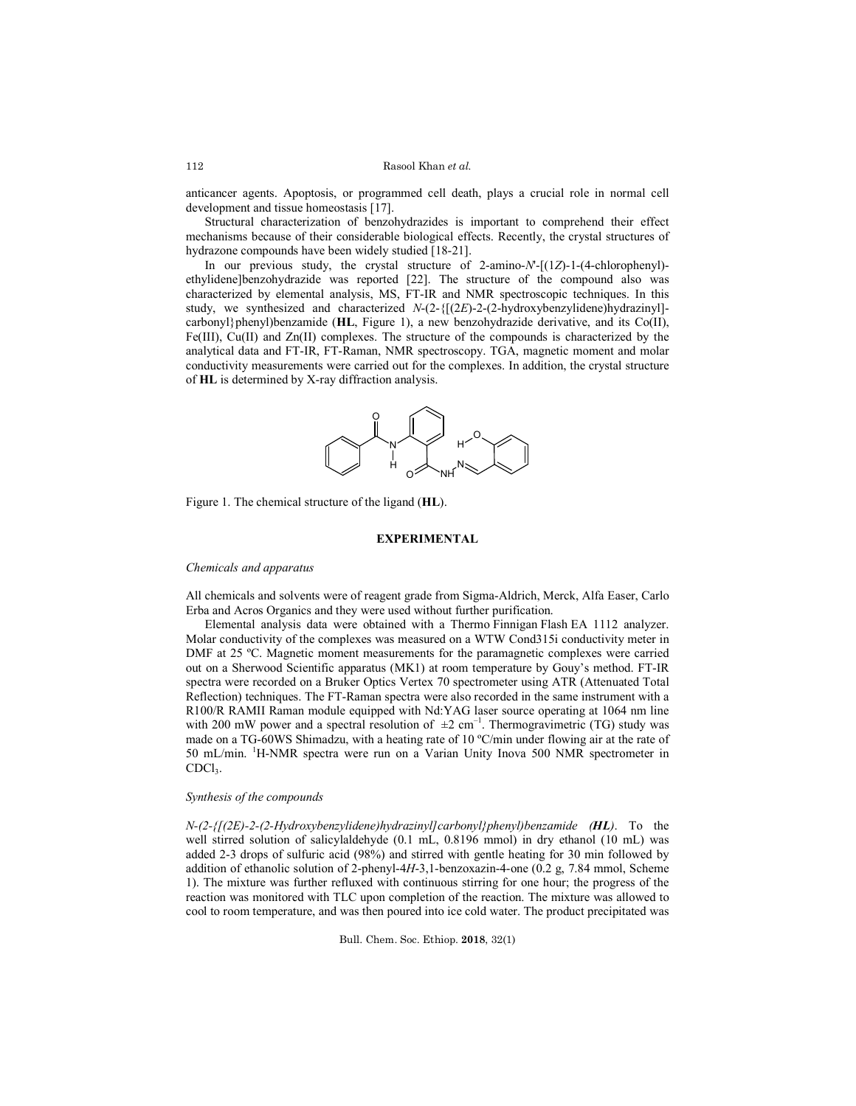anticancer agents. Apoptosis, or programmed cell death, plays a crucial role in normal cell development and tissue homeostasis [17].

Structural characterization of benzohydrazides is important to comprehend their effect mechanisms because of their considerable biological effects. Recently, the crystal structures of hydrazone compounds have been widely studied [18-21].

In our previous study, the crystal structure of 2-amino-*N*'-[(1*Z*)-1-(4-chlorophenyl) ethylidene]benzohydrazide was reported [22]. The structure of the compound also was characterized by elemental analysis, MS, FT-IR and NMR spectroscopic techniques. In this study, we synthesized and characterized *N*-(2-{[(2*E*)-2-(2-hydroxybenzylidene)hydrazinyl]carbonyl}phenyl)benzamide (**HL**, Figure 1), a new benzohydrazide derivative, and its Co(II), Fe(III), Cu(II) and Zn(II) complexes. The structure of the compounds is characterized by the analytical data and FT-IR, FT-Raman, NMR spectroscopy. TGA, magnetic moment and molar conductivity measurements were carried out for the complexes. In addition, the crystal structure of **HL** is determined by X-ray diffraction analysis.



Figure 1. The chemical structure of the ligand (**HL**).

### **EXPERIMENTAL**

### *Chemicals and apparatus*

All chemicals and solvents were of reagent grade from Sigma-Aldrich, Merck, Alfa Easer, Carlo Erba and Acros Organics and they were used without further purification.

Elemental analysis data were obtained with a Thermo Finnigan Flash EA 1112 analyzer. Molar conductivity of the complexes was measured on a WTW Cond315i conductivity meter in DMF at 25 ºC. Magnetic moment measurements for the paramagnetic complexes were carried out on a Sherwood Scientific apparatus (MK1) at room temperature by Gouy's method. FT-IR spectra were recorded on a Bruker Optics Vertex 70 spectrometer using ATR (Attenuated Total Reflection) techniques. The FT-Raman spectra were also recorded in the same instrument with a R100/R RAMII Raman module equipped with Nd:YAG laser source operating at 1064 nm line with 200 mW power and a spectral resolution of  $\pm 2$  cm<sup>-1</sup>. Thermogravimetric (TG) study was made on a TG-60WS Shimadzu, with a heating rate of 10 ºC/min under flowing air at the rate of 50 mL/min. <sup>1</sup> H-NMR spectra were run on a Varian Unity Inova 500 NMR spectrometer in CDCl<sub>3</sub>.

### *Synthesis of the compounds*

*N-(2-{[(2E)-2-(2-Hydroxybenzylidene)hydrazinyl]carbonyl}phenyl)benzamide (HL)*. To the well stirred solution of salicylaldehyde (0.1 mL, 0.8196 mmol) in dry ethanol (10 mL) was added 2-3 drops of sulfuric acid (98%) and stirred with gentle heating for 30 min followed by addition of ethanolic solution of 2-phenyl-4*H*-3,1-benzoxazin-4-one (0.2 g, 7.84 mmol, Scheme 1). The mixture was further refluxed with continuous stirring for one hour; the progress of the reaction was monitored with TLC upon completion of the reaction. The mixture was allowed to cool to room temperature, and was then poured into ice cold water. The product precipitated was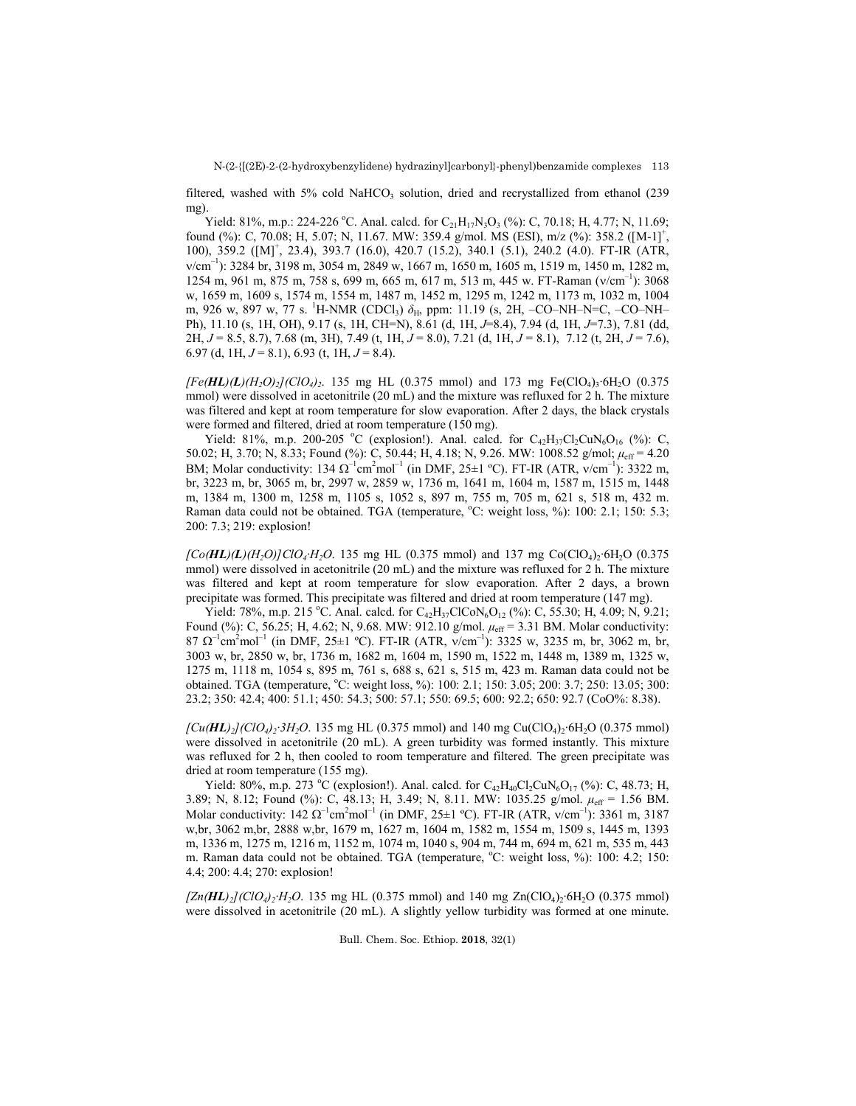filtered, washed with 5% cold NaHCO<sub>3</sub> solution, dried and recrystallized from ethanol (239) mg).

Yield: 81%, m.p.: 224-226 °C. Anal. calcd. for  $C_{21}H_{17}N_3O_3$  (%): C, 70.18; H, 4.77; N, 11.69; found (%): C, 70.08; H, 5.07; N, 11.67. MW: 359.4 g/mol. MS (ESI), m/z (%): 358.2 ([M-1]<sup>+</sup>, 100), 359.2 ([M]<sup>+</sup> , 23.4), 393.7 (16.0), 420.7 (15.2), 340.1 (5.1), 240.2 (4.0). FT-IR (ATR, v/cm<sup>-1</sup>): 3284 br, 3198 m, 3054 m, 2849 w, 1667 m, 1650 m, 1605 m, 1519 m, 1450 m, 1282 m, 1254 m, 961 m, 875 m, 758 s, 699 m, 665 m, 617 m, 513 m, 445 w. FT-Raman (v/cm<sup>-1</sup>): 3068 w, 1659 m, 1609 s, 1574 m, 1554 m, 1487 m, 1452 m, 1295 m, 1242 m, 1173 m, 1032 m, 1004 m, 926 w, 897 w, 77 s. <sup>1</sup>H-NMR (CDCl<sub>3</sub>) δ<sub>H</sub>, ppm: 11.19 (s, 2H, -CO–NH–N=C, -CO–NH– Ph), 11.10 (s, 1H, OH), 9.17 (s, 1H, CH=N), 8.61 (d, 1H, *J*=8.4), 7.94 (d, 1H, *J*=7.3), 7.81 (dd, 2H, *J* = 8.5, 8.7), 7.68 (m, 3H), 7.49 (t, 1H, *J* = 8.0), 7.21 (d, 1H, *J* = 8.1), 7.12 (t, 2H, *J* = 7.6), 6.97 (d, 1H, *J* = 8.1), 6.93 (t, 1H, *J* = 8.4).

*[Fe(HL)(L)(H2O)2](ClO4)2*. 135 mg HL (0.375 mmol) and 173 mg Fe(ClO4)3∙6H2O (0.375 mmol) were dissolved in acetonitrile (20 mL) and the mixture was refluxed for 2 h. The mixture was filtered and kept at room temperature for slow evaporation. After 2 days, the black crystals were formed and filtered, dried at room temperature (150 mg).

Yield: 81%, m.p. 200-205 °C (explosion!). Anal. calcd. for  $C_{42}H_{37}Cl_2CuN_6O_{16}$  (%): C, 50.02; H, 3.70; N, 8.33; Found (%): C, 50.44; H, 4.18; N, 9.26. MW: 1008.52 g/mol; *μ*eff = 4.20 BM; Molar conductivity: 134  $\Omega^{-1}$ cm<sup>2</sup>mol<sup>-1</sup> (in DMF, 25±1 °C). FT-IR (ATR, v/cm<sup>-1</sup>): 3322 m, br, 3223 m, br, 3065 m, br, 2997 w, 2859 w, 1736 m, 1641 m, 1604 m, 1587 m, 1515 m, 1448 m, 1384 m, 1300 m, 1258 m, 1105 s, 1052 s, 897 m, 755 m, 705 m, 621 s, 518 m, 432 m. Raman data could not be obtained. TGA (temperature, °C: weight loss, %): 100: 2.1; 150: 5.3; 200: 7.3; 219: explosion!

*[Co(HL)(L)(H2O)]ClO4·H2O*. 135 mg HL (0.375 mmol) and 137 mg Co(ClO4)2∙6H2O (0.375 mmol) were dissolved in acetonitrile (20 mL) and the mixture was refluxed for 2 h. The mixture was filtered and kept at room temperature for slow evaporation. After 2 days, a brown precipitate was formed. This precipitate was filtered and dried at room temperature (147 mg).

Yield: 78%, m.p. 215 °C. Anal. calcd. for  $C_{42}H_{37}CICoN_6O_{12}$  (%): C, 55.30; H, 4.09; N, 9.21; Found (%): C, 56.25; H, 4.62; N, 9.68. MW: 912.10 g/mol.  $\mu_{eff}$  = 3.31 BM. Molar conductivity:  $87 \Omega^{-1}$ cm<sup>2</sup>mol<sup>-1</sup> (in DMF, 25±1 °C). FT-IR (ATR, v/cm<sup>-1</sup>): 3325 w, 3235 m, br, 3062 m, br, 3003 w, br, 2850 w, br, 1736 m, 1682 m, 1604 m, 1590 m, 1522 m, 1448 m, 1389 m, 1325 w, 1275 m, 1118 m, 1054 s, 895 m, 761 s, 688 s, 621 s, 515 m, 423 m. Raman data could not be obtained. TGA (temperature, °C: weight loss, %): 100: 2.1; 150: 3.05; 200: 3.7; 250: 13.05; 300: 23.2; 350: 42.4; 400: 51.1; 450: 54.3; 500: 57.1; 550: 69.5; 600: 92.2; 650: 92.7 (CoO%: 8.38).

*[Cu(HL)<sub>2</sub>](ClO<sub>4</sub>)<sub>2</sub>·3H<sub>2</sub>O. 135 mg HL (0.375 mmol) and 140 mg Cu(ClO<sub>4</sub>)<sub>2</sub>·6H<sub>2</sub>O (0.375 mmol)* were dissolved in acetonitrile (20 mL). A green turbidity was formed instantly. This mixture was refluxed for 2 h, then cooled to room temperature and filtered. The green precipitate was dried at room temperature (155 mg).

Yield: 80%, m.p. 273 °C (explosion!). Anal. calcd. for  $C_{42}H_{40}Cl_2CuN_6O_{17}$  (%): C, 48.73; H, 3.89; N, 8.12; Found (%): C, 48.13; H, 3.49; N, 8.11. MW: 1035.25 g/mol.  $μ_{eff}$  = 1.56 BM. Molar conductivity:  $142 \Omega^{-1}$ cm<sup>2</sup>mol<sup>-1</sup> (in DMF,  $25 \pm 1 \text{ }^{\circ}$ C). FT-IR (ATR, v/cm<sup>-1</sup>): 3361 m, 3187 w,br, 3062 m,br, 2888 w,br, 1679 m, 1627 m, 1604 m, 1582 m, 1554 m, 1509 s, 1445 m, 1393 m, 1336 m, 1275 m, 1216 m, 1152 m, 1074 m, 1040 s, 904 m, 744 m, 694 m, 621 m, 535 m, 443 m. Raman data could not be obtained. TGA (temperature, °C: weight loss, %): 100: 4.2; 150: 4.4; 200: 4.4; 270: explosion!

*[Zn(HL*)<sub>2</sub>](*ClO<sub>4</sub>*)<sub>2</sub>·*H*<sub>2</sub>*O*. 135 mg HL (0.375 mmol) and 140 mg Zn(ClO<sub>4</sub>)<sub>2</sub>·6H<sub>2</sub>O (0.375 mmol) were dissolved in acetonitrile (20 mL). A slightly yellow turbidity was formed at one minute.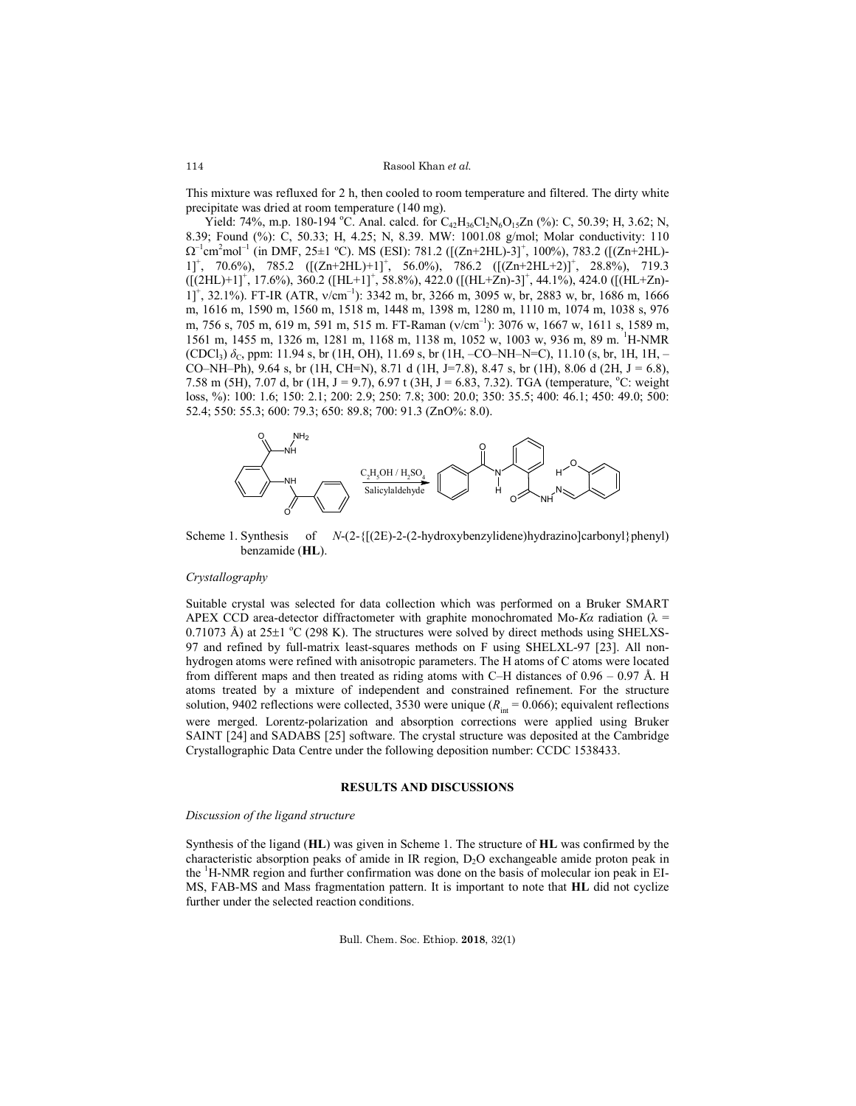This mixture was refluxed for 2 h, then cooled to room temperature and filtered. The dirty white precipitate was dried at room temperature (140 mg).

Yield: 74%, m.p. 180-194 °C. Anal. calcd. for  $C_{42}H_{36}Cl_2N_6O_{15}Zn$  (%): C, 50.39; H, 3.62; N, 8.39; Found (%): C, 50.33; H, 4.25; N, 8.39. MW: 1001.08 g/mol; Molar conductivity: 110  $\Omega^{-1}$ cm<sup>2</sup>mol<sup>-1</sup> (in DMF, 25±1 °C). MS (ESI): 781.2 ([(Zn+2HL)-3]<sup>+</sup>, 100%), 783.2 ([(Zn+2HL)- $1$ ]<sup>+</sup>, 70.6%), 785.2 ( $[(Zn+2HL)+1]$ <sup>+</sup>, 56.0%), 786.2 ( $[(Zn+2HL+2)]$ <sup>+</sup>, 28.8%), 719.3  $([2HL)+1]^+$ , 17.6%), 360.2  $([HL+1]^+$ , 58.8%), 422.0  $([(HL+Zn)-3]^+$ , 44.1%), 424.0  $([(HL+Zn)-3]^+)$  $1$ ]<sup>+</sup>, 32.1%). FT-IR (ATR, v/cm<sup>-1</sup>): 3342 m, br, 3266 m, 3095 w, br, 2883 w, br, 1686 m, 1666 m, 1616 m, 1590 m, 1560 m, 1518 m, 1448 m, 1398 m, 1280 m, 1110 m, 1074 m, 1038 s, 976 m, 756 s, 705 m, 619 m, 591 m, 515 m. FT-Raman (v/cm<sup>-1</sup>): 3076 w, 1667 w, 1611 s, 1589 m, 1561 m, 1455 m, 1326 m, 1281 m, 1168 m, 1138 m, 1052 w, 1003 w, 936 m, 89 m. <sup>1</sup> H-NMR (CDCl<sub>3</sub>)  $\delta_c$ , ppm: 11.94 s, br (1H, OH), 11.69 s, br (1H, -CO–NH–N=C), 11.10 (s, br, 1H, 1H, – CO–NH–Ph), 9.64 s, br (1H, CH=N), 8.71 d (1H, J=7.8), 8.47 s, br (1H), 8.06 d (2H, J = 6.8), 7.58 m (5H), 7.07 d, br (1H, J = 9.7), 6.97 t (3H, J = 6.83, 7.32). TGA (temperature,  $^{\circ}$ C: weight loss, %): 100: 1.6; 150: 2.1; 200: 2.9; 250: 7.8; 300: 20.0; 350: 35.5; 400: 46.1; 450: 49.0; 500: 52.4; 550: 55.3; 600: 79.3; 650: 89.8; 700: 91.3 (ZnO%: 8.0).



Scheme 1. Synthesis of *N*-(2-{[(2E)-2-(2-hydroxybenzylidene)hydrazino]carbonyl}phenyl) benzamide (**HL**).

#### *Crystallography*

Suitable crystal was selected for data collection which was performed on a Bruker SMART APEX CCD area-detector diffractometer with graphite monochromated Mo-*Ka* radiation ( $\lambda$  =  $0.71073$  Å) at  $25\pm1$  °C (298 K). The structures were solved by direct methods using SHELXS-97 and refined by full-matrix least-squares methods on F using SHELXL-97 [23]. All nonhydrogen atoms were refined with anisotropic parameters. The H atoms of C atoms were located from different maps and then treated as riding atoms with C–H distances of  $0.96 - 0.97$  Å. H atoms treated by a mixture of independent and constrained refinement. For the structure solution, 9402 reflections were collected, 3530 were unique  $(R<sub>int</sub> = 0.066)$ ; equivalent reflections were merged. Lorentz-polarization and absorption corrections were applied using Bruker SAINT [24] and SADABS [25] software. The crystal structure was deposited at the Cambridge Crystallographic Data Centre under the following deposition number: CCDC 1538433.

#### **RESULTS AND DISCUSSIONS**

#### *Discussion of the ligand structure*

Synthesis of the ligand (**HL**) was given in Scheme 1. The structure of **HL** was confirmed by the characteristic absorption peaks of amide in IR region, D<sub>2</sub>O exchangeable amide proton peak in the <sup>1</sup>H-NMR region and further confirmation was done on the basis of molecular ion peak in EI-MS, FAB-MS and Mass fragmentation pattern. It is important to note that **HL** did not cyclize further under the selected reaction conditions.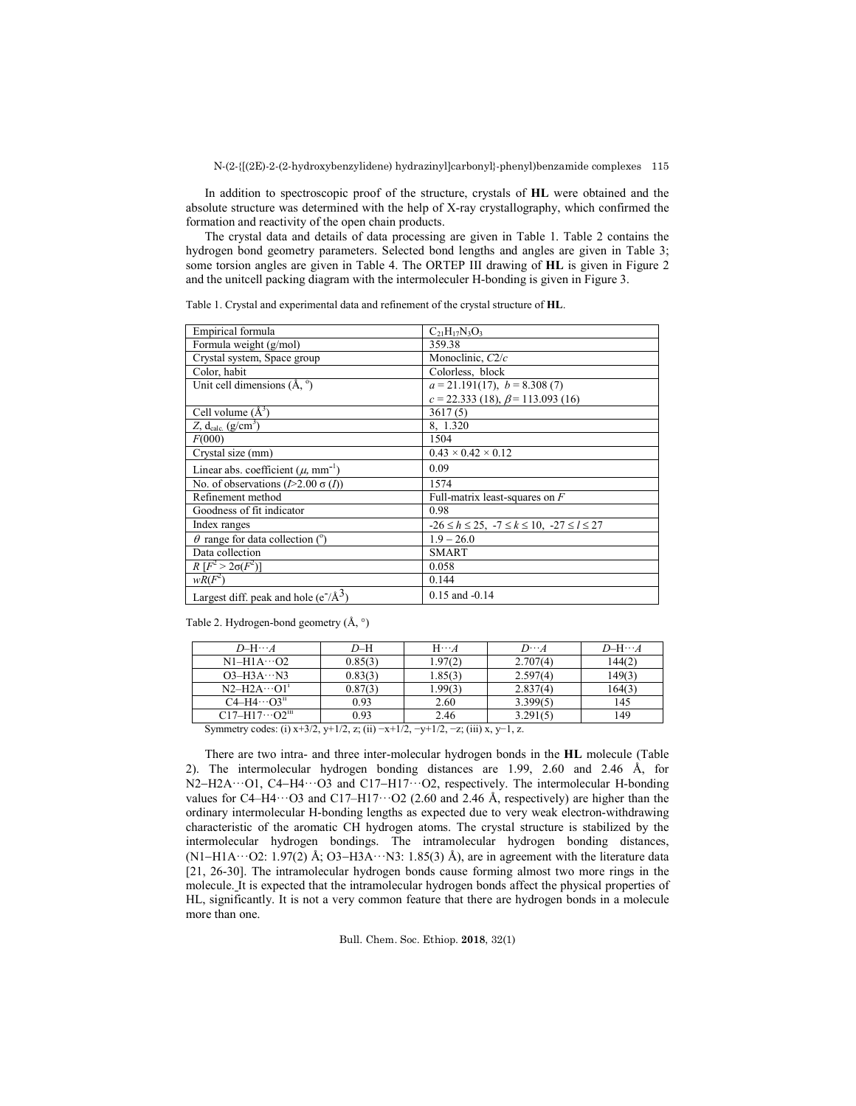In addition to spectroscopic proof of the structure, crystals of **HL** were obtained and the absolute structure was determined with the help of X-ray crystallography, which confirmed the formation and reactivity of the open chain products.

The crystal data and details of data processing are given in Table 1. Table 2 contains the hydrogen bond geometry parameters. Selected bond lengths and angles are given in Table 3; some torsion angles are given in Table 4. The ORTEP III drawing of **HL** is given in Figure 2 and the unitcell packing diagram with the intermoleculer H-bonding is given in Figure 3.

Table 1. Crystal and experimental data and refinement of the crystal structure of **HL**.

| Empirical formula                                      | $C_{21}H_{17}N_3O_3$                                        |
|--------------------------------------------------------|-------------------------------------------------------------|
| Formula weight (g/mol)                                 | 359.38                                                      |
| Crystal system, Space group                            | Monoclinic, C2/c                                            |
| Color, habit                                           | Colorless, block                                            |
| Unit cell dimensions $(A, \degree)$                    | $a = 21.191(17), b = 8.308(7)$                              |
|                                                        | $c = 22.333(18), \beta = 113.093(16)$                       |
| Cell volume $(A^3)$                                    | 3617(5)                                                     |
| Z, $d_{calc.}$ (g/cm <sup>3</sup> )                    | 8, 1.320                                                    |
| F(000)                                                 | 1504                                                        |
| Crystal size (mm)                                      | $0.43 \times 0.42 \times 0.12$                              |
| Linear abs. coefficient $(\mu, \text{mm}^{-1})$        | 0.09                                                        |
| No. of observations $(I>2.00 \sigma(I))$               | 1574                                                        |
| Refinement method                                      | Full-matrix least-squares on $F$                            |
| Goodness of fit indicator                              | 0.98                                                        |
| Index ranges                                           | $-26 \le h \le 25$ , $-7 \le k \le 10$ , $-27 \le l \le 27$ |
| $\theta$ range for data collection (°)                 | $1.9 - 26.0$                                                |
| Data collection                                        | <b>SMART</b>                                                |
| $R[F^2 > 2\sigma(F^2)]$                                | 0.058                                                       |
| $wR(F^2)$                                              | 0.144                                                       |
| Largest diff. peak and hole ( $e^{-}/\text{\AA}^{3}$ ) | $0.15$ and $-0.14$                                          |

Table 2. Hydrogen-bond geometry (Å, °)

| $D$ -H $\cdots$ A                                        | $D-H$   | $H \cdots A$ | $D\cdots A$ | $D-H\cdots A$ |  |
|----------------------------------------------------------|---------|--------------|-------------|---------------|--|
| $N1-H1A\cdots O2$                                        | 0.85(3) | 1.97(2)      | 2.707(4)    | 144(2)        |  |
| $O3-H3A\cdots N3$                                        | 0.83(3) | 1.85(3)      | 2.597(4)    | 149(3)        |  |
| $N2-H2A\cdots O11$                                       | 0.87(3) | 1.99(3)      | 2.837(4)    | 164(3)        |  |
| $C4-H4\cdots O3n$                                        | 0.93    | 2.60         | 3.399(5)    | 145           |  |
| $C17 - H17 \cdots O2^{111}$                              | 0.93    | 2.46         | 3.291(5)    | 149           |  |
| $0 \tarrow 10 \tarrow 1 \tarrow 1 \tarrow 10 \tarrow 10$ |         |              |             |               |  |

Symmetry codes: (i) x+3/2, y+1/2, z; (ii) −x+1/2, −y+1/2, −z; (iii) x, y−1, z.

There are two intra- and three inter-molecular hydrogen bonds in the **HL** molecule (Table 2). The intermolecular hydrogen bonding distances are 1.99, 2.60 and 2.46 Å, for N2-H2A···O1, C4-H4···O3 and C17-H17···O2, respectively. The intermolecular H-bonding values for C4–H4···O3 and C17–H17···O2 (2.60 and 2.46 Å, respectively) are higher than the ordinary intermolecular H-bonding lengths as expected due to very weak electron-withdrawing characteristic of the aromatic CH hydrogen atoms. The crystal structure is stabilized by the intermolecular hydrogen bondings. The intramolecular hydrogen bonding distances, (N1-H1A $\cdots$ O2: 1.97(2) Å; O3-H3A $\cdots$ N3: 1.85(3) Å), are in agreement with the literature data [21, 26-30]. The intramolecular hydrogen bonds cause forming almost two more rings in the molecule. It is expected that the intramolecular hydrogen bonds affect the physical properties of HL, significantly. It is not a very common feature that there are hydrogen bonds in a molecule more than one.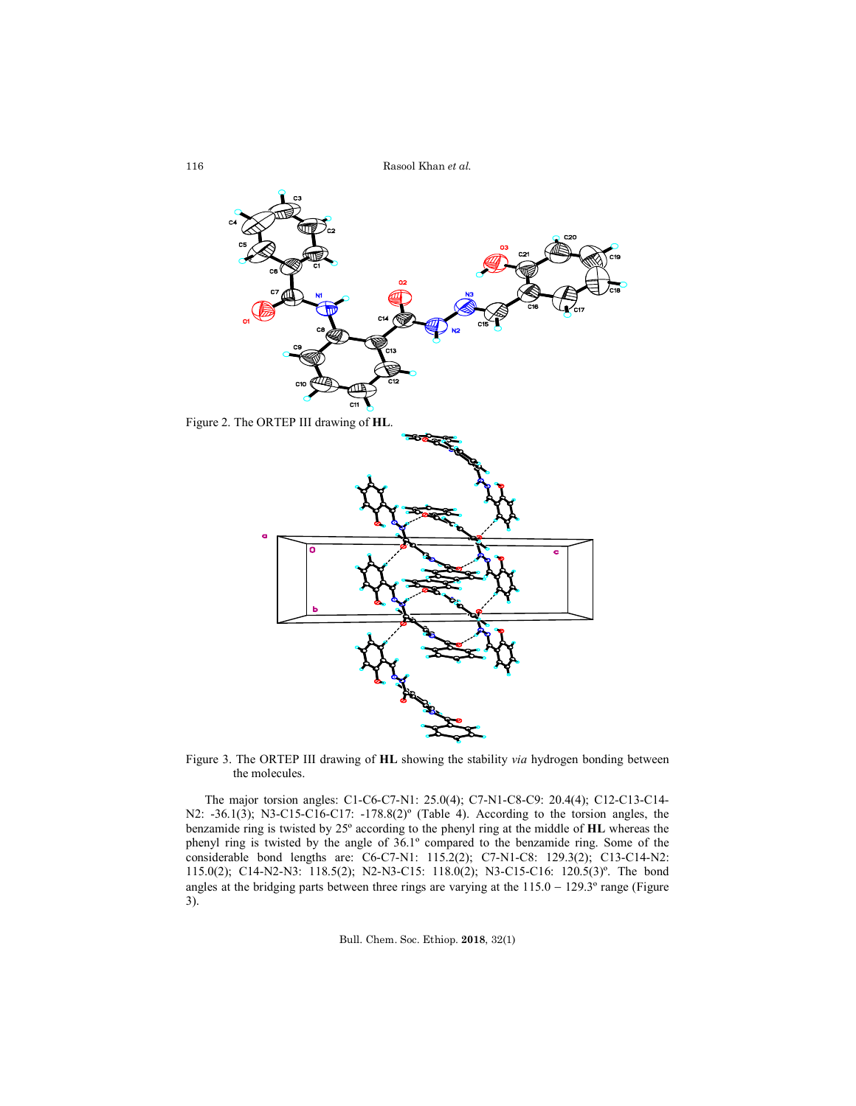Rasool Khan *et al.*



Figure 3. The ORTEP III drawing of **HL** showing the stability *via* hydrogen bonding between the molecules.

The major torsion angles: C1-C6-C7-N1: 25.0(4); C7-N1-C8-C9: 20.4(4); C12-C13-C14- N2: -36.1(3); N3-C15-C16-C17: -178.8(2)º (Table 4). According to the torsion angles, the benzamide ring is twisted by 25º according to the phenyl ring at the middle of **HL** whereas the phenyl ring is twisted by the angle of 36.1º compared to the benzamide ring. Some of the considerable bond lengths are: C6-C7-N1: 115.2(2); C7-N1-C8: 129.3(2); C13-C14-N2: 115.0(2); C14-N2-N3: 118.5(2); N2-N3-C15: 118.0(2); N3-C15-C16: 120.5(3)º. The bond angles at the bridging parts between three rings are varying at the  $115.0 - 129.3^\circ$  range (Figure 3).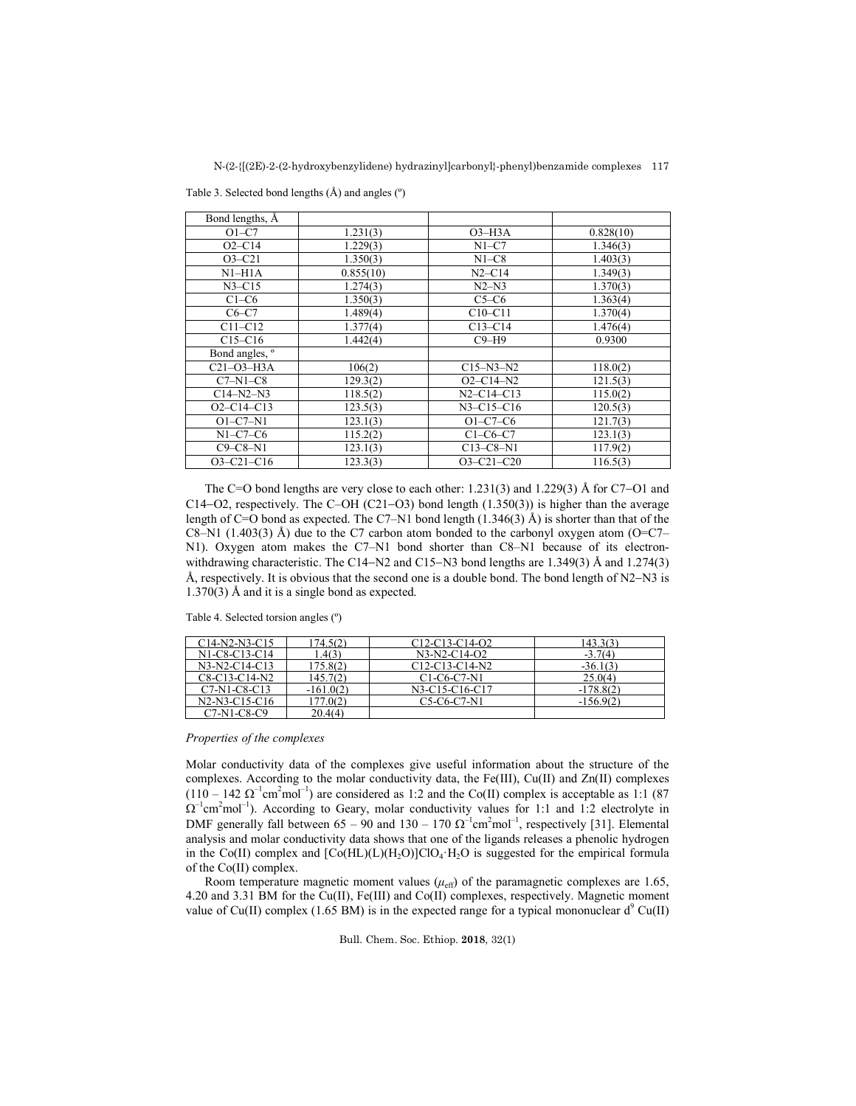| Bond lengths, A  |           |                  |           |
|------------------|-----------|------------------|-----------|
| $O1-C7$          | 1.231(3)  | $O3-H3A$         | 0.828(10) |
| $O2-C14$         | 1.229(3)  | $N1-C7$          | 1.346(3)  |
| $O3-C21$         | 1.350(3)  | $N1-C8$          | 1.403(3)  |
| $NI-H1A$         | 0.855(10) | $N2 - C14$       | 1.349(3)  |
| $N3 - C15$       | 1.274(3)  | $N2-N3$          | 1.370(3)  |
| $C1-C6$          | 1.350(3)  | $C5-C6$          | 1.363(4)  |
| $C6-C7$          | 1.489(4)  | $C10-C11$        | 1.370(4)  |
| $C11-C12$        | 1.377(4)  | $C13-C14$        | 1.476(4)  |
| $C15-C16$        | 1.442(4)  | $C9-H9$          | 0.9300    |
| Bond angles, °   |           |                  |           |
| $C21-O3-H3A$     | 106(2)    | $C15 - N3 - N2$  | 118.0(2)  |
| $C7-N1-C8$       | 129.3(2)  | $O2 - C14 - N2$  | 121.5(3)  |
| $C14-N2-N3$      | 118.5(2)  | $N2 - C14 - C13$ | 115.0(2)  |
| $O2 - C14 - C13$ | 123.5(3)  | $N3 - C15 - C16$ | 120.5(3)  |
| $O1-C7-N1$       | 123.1(3)  | $O1-C7-C6$       | 121.7(3)  |
| $N1-C7-C6$       | 115.2(2)  | $C1-C6-C7$       | 123.1(3)  |
| $C9 - C8 - N1$   | 123.1(3)  | $C13-C8-N1$      | 117.9(2)  |
| $O3 - C21 - C16$ | 123.3(3)  | $O3 - C21 - C20$ | 116.5(3)  |

Table 3. Selected bond lengths (Å) and angles (º)

The C=O bond lengths are very close to each other:  $1.231(3)$  and  $1.229(3)$  Å for C7–O1 and C14–O2, respectively. The C–OH (C21–O3) bond length  $(1.350(3))$  is higher than the average length of C=O bond as expected. The C7–N1 bond length  $(1.346(3)$  Å) is shorter than that of the C8–N1 (1.403(3) Å) due to the C7 carbon atom bonded to the carbonyl oxygen atom (O=C7– N1). Oxygen atom makes the C7–N1 bond shorter than C8–N1 because of its electronwithdrawing characteristic. The C14–N2 and C15–N3 bond lengths are 1.349(3) Å and 1.274(3) Å, respectively. It is obvious that the second one is a double bond. The bond length of  $N2-N3$  is 1.370(3) Å and it is a single bond as expected.

#### Table 4. Selected torsion angles (º)

| ~14-N2-N3-C15   | 174.502)    | C12-C13-C14-O2                                                 | 143 363     |
|-----------------|-------------|----------------------------------------------------------------|-------------|
| N1-C8-C13-C14   | .4(3)       | $N3-N2-C14-O2$                                                 | $-3.7(4)$   |
| $N3-N2-C14-C13$ | 175.8(2)    | $C12-C13-C14-N2$                                               | $-36.1(3)$  |
| C8-C13-C14-N2   | 145.7(2)    | C <sub>1</sub> -C <sub>6</sub> -C <sub>7</sub> -N <sub>1</sub> | 25.0(4)     |
| $C7-N1-C8-C13$  | $-161.0(2)$ | N3-C15-C16-C17                                                 | $-178.8(2)$ |
| N2-N3-C15-C16   | 77.0(2)     | C5-C6-C7-N1                                                    | $-156.9(2)$ |
| C7-N1-C8-C9     | 20.4(4)     |                                                                |             |

### *Properties of the complexes*

Molar conductivity data of the complexes give useful information about the structure of the complexes. According to the molar conductivity data, the Fe(III), Cu(II) and Zn(II) complexes  $(110 - 142 \Omega^{-1} \text{cm}^2 \text{mol}^{-1})$  are considered as 1:2 and the Co(II) complex is acceptable as 1:1 (87)  $\Omega^{-1}$ cm<sup>2</sup>mol<sup>-1</sup>). According to Geary, molar conductivity values for 1:1 and 1:2 electrolyte in DMF generally fall between  $65 - 90$  and  $130 - 170 \Omega^{-1}$ cm<sup>2</sup>mol<sup>-1</sup>, respectively [31]. Elemental analysis and molar conductivity data shows that one of the ligands releases a phenolic hydrogen in the Co(II) complex and  $[Co(HL)(L)(H_2O)]ClO<sub>4</sub>·H<sub>2</sub>O$  is suggested for the empirical formula of the Co(II) complex.

Room temperature magnetic moment values  $(\mu_{\text{eff}})$  of the paramagnetic complexes are 1.65, 4.20 and 3.31 BM for the Cu(II), Fe(III) and Co(II) complexes, respectively. Magnetic moment value of Cu(II) complex (1.65 BM) is in the expected range for a typical mononuclear d<sup>9</sup> Cu(II)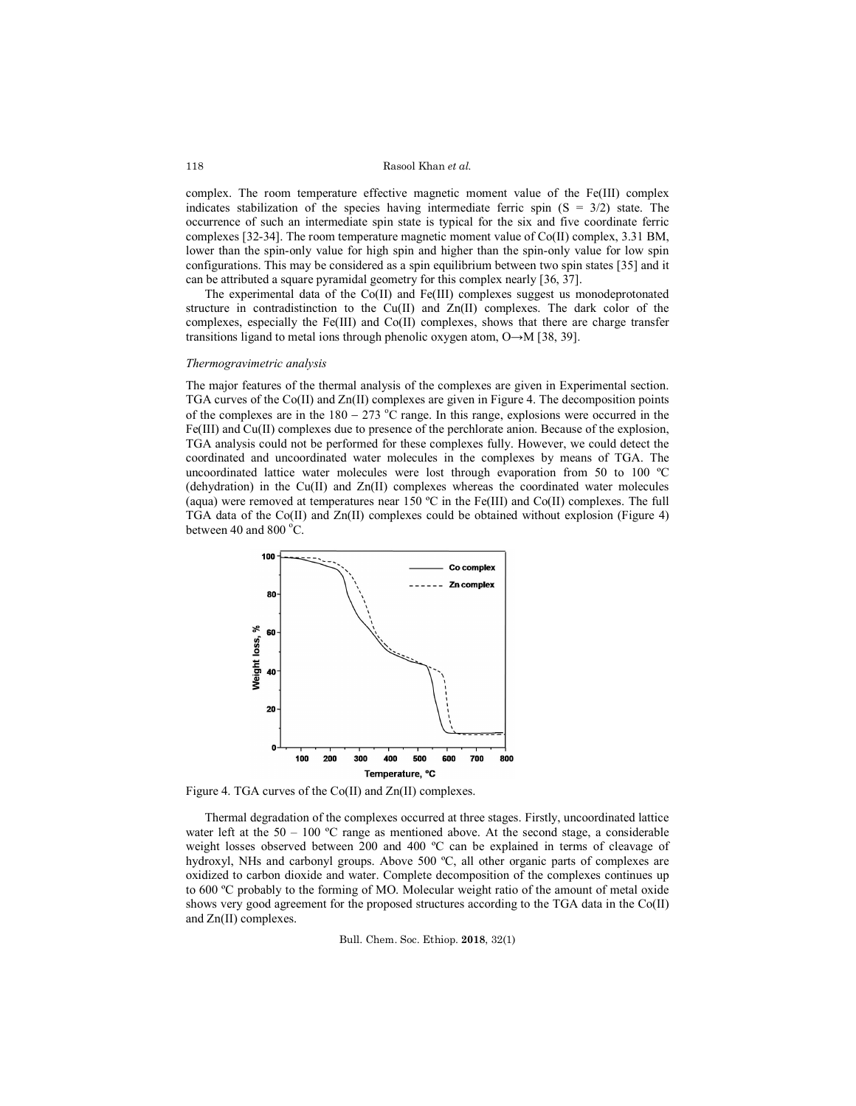#### Rasool Khan *et al.*

complex. The room temperature effective magnetic moment value of the Fe(III) complex indicates stabilization of the species having intermediate ferric spin  $(S = 3/2)$  state. The occurrence of such an intermediate spin state is typical for the six and five coordinate ferric complexes [32-34]. The room temperature magnetic moment value of Co(II) complex, 3.31 BM, lower than the spin-only value for high spin and higher than the spin-only value for low spin configurations. This may be considered as a spin equilibrium between two spin states [35] and it can be attributed a square pyramidal geometry for this complex nearly [36, 37].

The experimental data of the Co(II) and Fe(III) complexes suggest us monodeprotonated structure in contradistinction to the Cu(II) and Zn(II) complexes. The dark color of the complexes, especially the Fe(III) and Co(II) complexes, shows that there are charge transfer transitions ligand to metal ions through phenolic oxygen atom, O→M [38, 39].

#### *Thermogravimetric analysis*

The major features of the thermal analysis of the complexes are given in Experimental section. TGA curves of the Co(II) and Zn(II) complexes are given in Figure 4. The decomposition points of the complexes are in the  $180 - 273$  °C range. In this range, explosions were occurred in the Fe(III) and Cu(II) complexes due to presence of the perchlorate anion. Because of the explosion, TGA analysis could not be performed for these complexes fully. However, we could detect the coordinated and uncoordinated water molecules in the complexes by means of TGA. The uncoordinated lattice water molecules were lost through evaporation from 50 to 100 ºC (dehydration) in the  $Cu(II)$  and  $Zn(II)$  complexes whereas the coordinated water molecules (aqua) were removed at temperatures near 150 ºC in the Fe(III) and Co(II) complexes. The full TGA data of the Co(II) and Zn(II) complexes could be obtained without explosion (Figure 4) between 40 and 800 $\degree$ C.



Figure 4. TGA curves of the Co(II) and Zn(II) complexes.

Thermal degradation of the complexes occurred at three stages. Firstly, uncoordinated lattice water left at the  $50 - 100$  °C range as mentioned above. At the second stage, a considerable weight losses observed between 200 and 400 ºC can be explained in terms of cleavage of hydroxyl, NHs and carbonyl groups. Above 500 °C, all other organic parts of complexes are oxidized to carbon dioxide and water. Complete decomposition of the complexes continues up to 600 ºC probably to the forming of MO. Molecular weight ratio of the amount of metal oxide shows very good agreement for the proposed structures according to the TGA data in the Co(II) and Zn(II) complexes.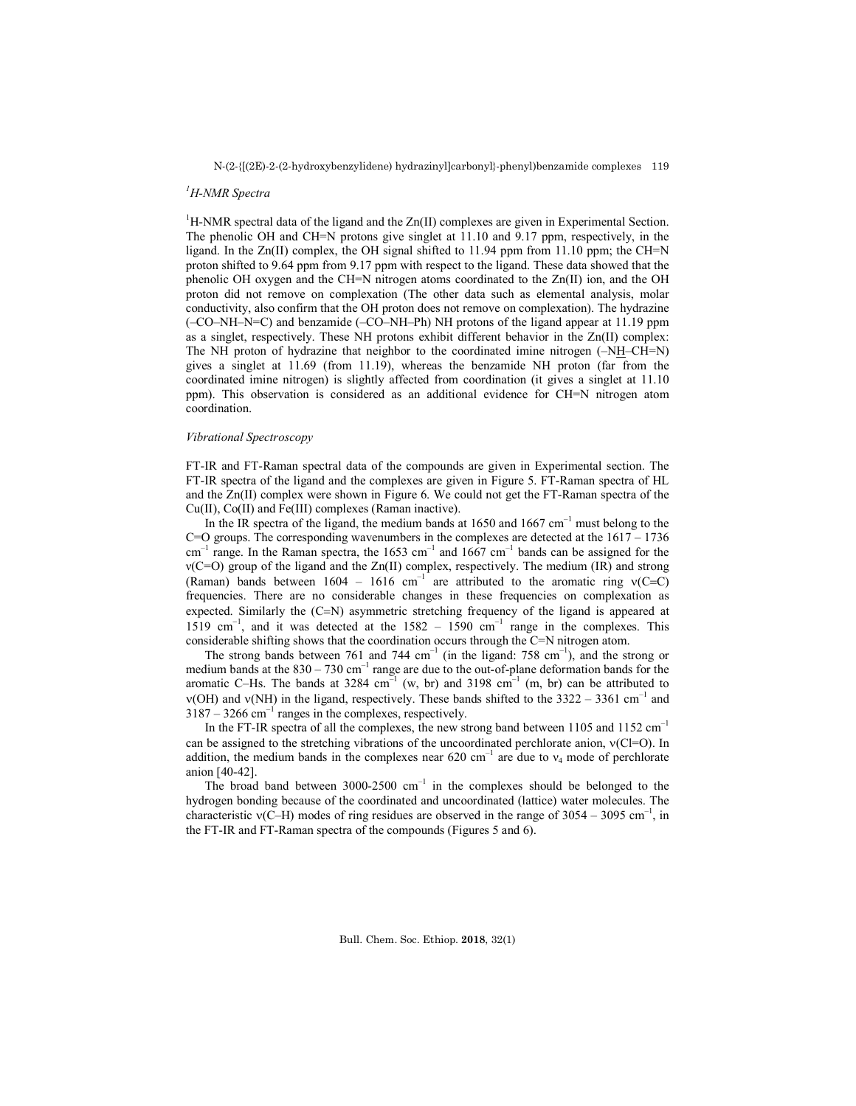# *1 H-NMR Spectra*

<sup>1</sup>H-NMR spectral data of the ligand and the  $Zn(II)$  complexes are given in Experimental Section. The phenolic OH and CH=N protons give singlet at 11.10 and 9.17 ppm, respectively, in the ligand. In the  $Zn(II)$  complex, the OH signal shifted to 11.94 ppm from 11.10 ppm; the CH=N proton shifted to 9.64 ppm from 9.17 ppm with respect to the ligand. These data showed that the phenolic OH oxygen and the CH=N nitrogen atoms coordinated to the Zn(II) ion, and the OH proton did not remove on complexation (The other data such as elemental analysis, molar conductivity, also confirm that the OH proton does not remove on complexation). The hydrazine (–CO–NH–N=C) and benzamide (–CO–NH–Ph) NH protons of the ligand appear at 11.19 ppm as a singlet, respectively. These NH protons exhibit different behavior in the Zn(II) complex: The NH proton of hydrazine that neighbor to the coordinated imine nitrogen (–NH–CH=N) gives a singlet at 11.69 (from 11.19), whereas the benzamide NH proton (far from the coordinated imine nitrogen) is slightly affected from coordination (it gives a singlet at 11.10 ppm). This observation is considered as an additional evidence for CH=N nitrogen atom coordination.

#### *Vibrational Spectroscopy*

FT-IR and FT-Raman spectral data of the compounds are given in Experimental section. The FT-IR spectra of the ligand and the complexes are given in Figure 5. FT-Raman spectra of HL and the Zn(II) complex were shown in Figure 6. We could not get the FT-Raman spectra of the Cu(II), Co(II) and Fe(III) complexes (Raman inactive).

In the IR spectra of the ligand, the medium bands at  $1650$  and  $1667$  cm<sup>-1</sup> must belong to the  $C=O$  groups. The corresponding wavenumbers in the complexes are detected at the  $1617 - 1736$  $cm^{-1}$  range. In the Raman spectra, the 1653 cm<sup>-1</sup> and 1667 cm<sup>-1</sup> bands can be assigned for the ν(C=O) group of the ligand and the Zn(II) complex, respectively. The medium (IR) and strong (Raman) bands between  $1604 - 1616$  cm<sup>-1</sup> are attributed to the aromatic ring  $v(C=C)$ frequencies. There are no considerable changes in these frequencies on complexation as expected. Similarly the  $(C=N)$  asymmetric stretching frequency of the ligand is appeared at 1519 cm<sup>-1</sup>, and it was detected at the 1582 - 1590 cm<sup>-1</sup> range in the complexes. This considerable shifting shows that the coordination occurs through the C=N nitrogen atom.

The strong bands between 761 and 744  $cm^{-1}$  (in the ligand: 758  $cm^{-1}$ ), and the strong or medium bands at the  $830 - 730$  cm<sup>-1</sup> range are due to the out-of-plane deformation bands for the aromatic C–Hs. The bands at 3284 cm<sup>-1</sup> (w, br) and 3198 cm<sup>-1</sup> (m, br) can be attributed to  $v(OH)$  and  $v(NH)$  in the ligand, respectively. These bands shifted to the 3322 – 3361 cm<sup>-1</sup> and  $3187 - 3266$  cm<sup>-1</sup> ranges in the complexes, respectively.

In the FT-IR spectra of all the complexes, the new strong band between 1105 and 1152 cm<sup>-1</sup> can be assigned to the stretching vibrations of the uncoordinated perchlorate anion,  $v(C=0)$ . In addition, the medium bands in the complexes near 620 cm<sup>-1</sup> are due to  $v_4$  mode of perchlorate anion [40-42].

The broad band between 3000-2500  $cm^{-1}$  in the complexes should be belonged to the hydrogen bonding because of the coordinated and uncoordinated (lattice) water molecules. The characteristic  $v(C-H)$  modes of ring residues are observed in the range of 3054 – 3095 cm<sup>-1</sup>, in the FT-IR and FT-Raman spectra of the compounds (Figures 5 and 6).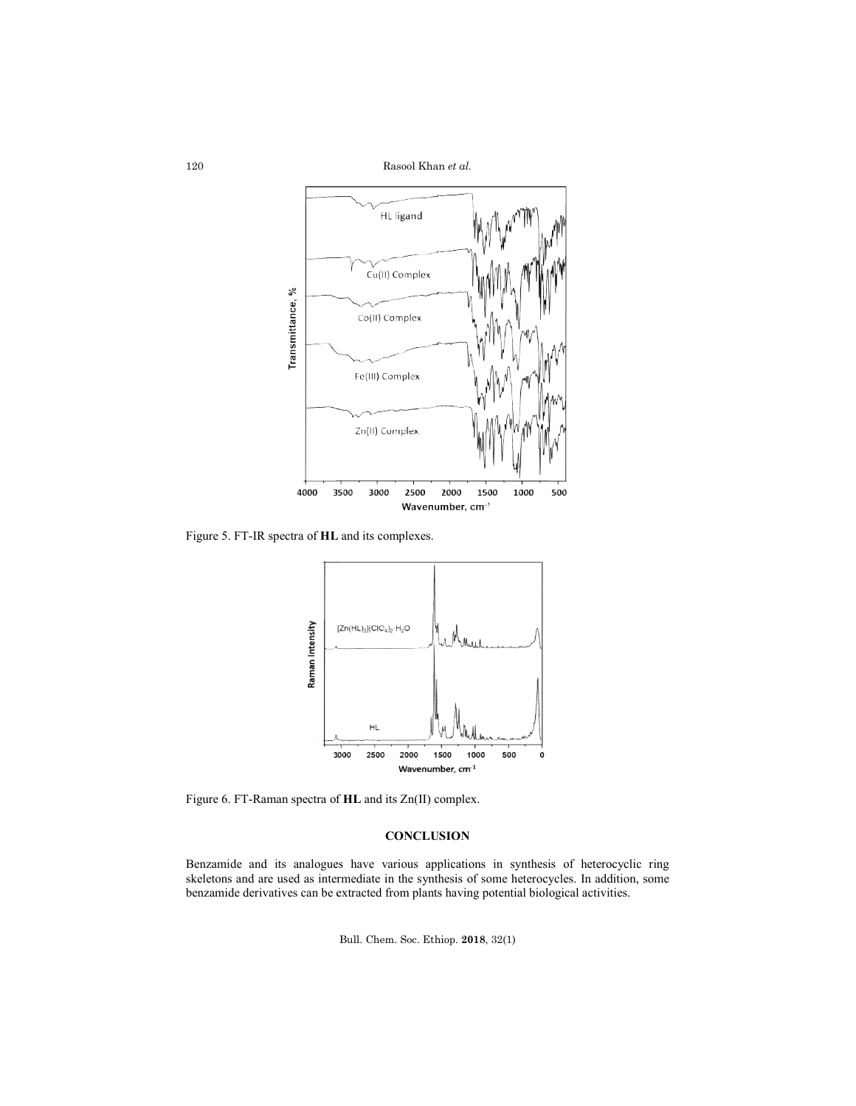Rasool Khan *et al.*



Figure 5. FT-IR spectra of **HL** and its complexes.



Figure 6. FT-Raman spectra of **HL** and its Zn(II) complex.

# **CONCLUSION**

Benzamide and its analogues have various applications in synthesis of heterocyclic ring Benzamide and its analogues have various applications in synthesis of heterocyclic ring skeletons and are used as intermediate in the synthesis of some heterocycles. In addition, some benzamide derivatives can be extracted from plants having potential biological activities.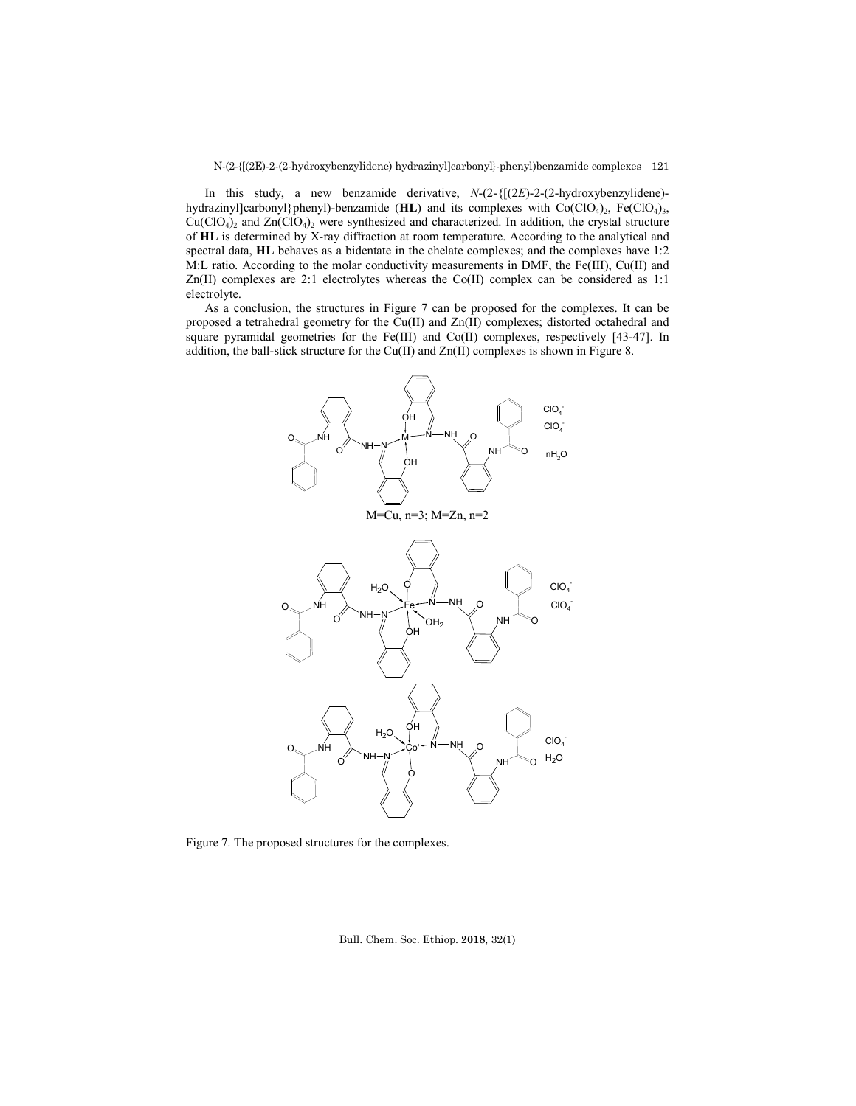In this study, a new benzamide derivative, *N*-(2-{[(2*E*)-2-(2-hydroxybenzylidene) hydrazinyl]carbonyl}phenyl)-benzamide (**HL**) and its complexes with Co(ClO<sub>4</sub>)<sub>2</sub>, Fe(ClO<sub>4</sub>)<sub>3</sub>,  $Cu(CIO<sub>4</sub>)<sub>2</sub>$  and  $Zn(CIO<sub>4</sub>)<sub>2</sub>$  were synthesized and characterized. In addition, the crystal structure of **HL** is determined by X-ray diffraction at room temperature. According to the analytical and spectral data, **HL** behaves as a bidentate in the chelate complexes; and the complexes have 1:2 M:L ratio. According to the molar conductivity measurements in DMF, the Fe(III), Cu(II) and  $Zn(II)$  complexes are 2:1 electrolytes whereas the Co(II) complex can be considered as 1:1 electrolyte.

As a conclusion, the structures in Figure 7 can be proposed for the complexes. It can be proposed a tetrahedral geometry for the Cu(II) and Zn(II) complexes; distorted octahedral and square pyramidal geometries for the Fe(III) and Co(II) complexes, respectively [43-47]. In addition, the ball-stick structure for the Cu(II) and Zn(II) complexes is shown in Figure 8.



Figure 7. The proposed structures for the complexes.

Bull. Chem. Soc. Ethiop. **2018**, 32(1)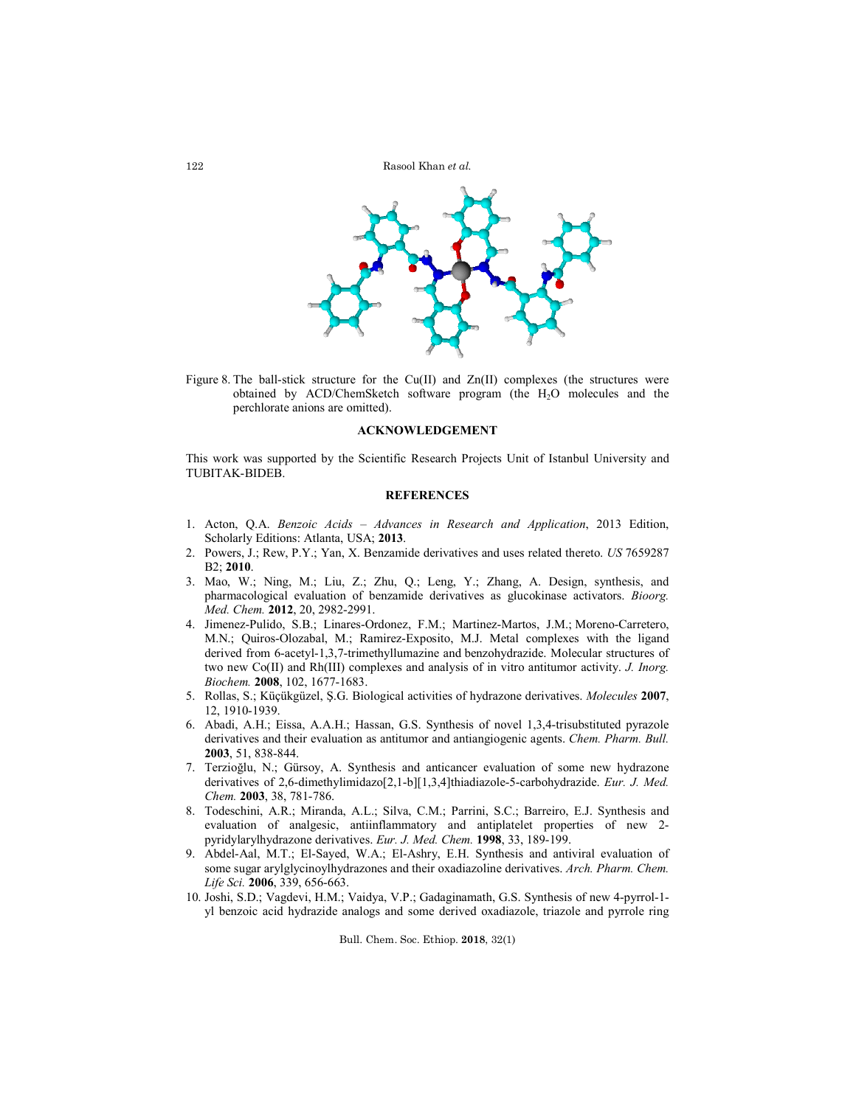

Figure 8. The ball-stick structure for the  $Cu(II)$  and  $Zn(II)$  complexes (the structures were obtained by ACD/ChemSketch software program (the H2O molecules and the perchlorate anions are omitted).

### **ACKNOWLEDGEMENT**

This work was supported by the Scientific Research Projects Unit of Istanbul University and TUBITAK-BIDEB.

### **REFERENCES**

- 1. Acton, Q.A. *Benzoic Acids – Advances in Research and Application*, 2013 Edition, Scholarly Editions: Atlanta, USA; **2013**.
- 2. Powers, J.; Rew, P.Y.; Yan, X. Benzamide derivatives and uses related thereto. *US* 7659287 B2; **2010**.
- 3. Mao, W.; Ning, M.; Liu, Z.; Zhu, Q.; Leng, Y.; Zhang, A. Design, synthesis, and pharmacological evaluation of benzamide derivatives as glucokinase activators. *Bioorg. Med. Chem.* **2012**, 20, 2982-2991.
- 4. Jimenez-Pulido, S.B.; Linares-Ordonez, F.M.; Martinez-Martos, J.M.; Moreno-Carretero, M.N.; Quiros-Olozabal, M.; Ramirez-Exposito, M.J. Metal complexes with the ligand derived from 6-acetyl-1,3,7-trimethyllumazine and benzohydrazide. Molecular structures of two new Co(II) and Rh(III) complexes and analysis of in vitro antitumor activity. *J. Inorg. Biochem.* **2008**, 102, 1677-1683.
- 5. Rollas, S.; Küçükgüzel, Ş.G. Biological activities of hydrazone derivatives. *Molecules* **2007**, 12, 1910-1939.
- 6. Abadi, A.H.; Eissa, A.A.H.; Hassan, G.S. Synthesis of novel 1,3,4-trisubstituted pyrazole derivatives and their evaluation as antitumor and antiangiogenic agents. *Chem. Pharm. Bull.* **2003**, 51, 838-844.
- 7. Terzioğlu, N.; Gürsoy, A. Synthesis and anticancer evaluation of some new hydrazone derivatives of 2,6-dimethylimidazo[2,1-b][1,3,4]thiadiazole-5-carbohydrazide. *Eur. J. Med. Chem.* **2003**, 38, 781-786.
- 8. Todeschini, A.R.; Miranda, A.L.; Silva, C.M.; Parrini, S.C.; Barreiro, E.J. Synthesis and evaluation of analgesic, antiinflammatory and antiplatelet properties of new 2 pyridylarylhydrazone derivatives. *Eur. J. Med. Chem.* **1998**, 33, 189-199.
- 9. Abdel-Aal, M.T.; El-Sayed, W.A.; El-Ashry, E.H. Synthesis and antiviral evaluation of some sugar arylglycinoylhydrazones and their oxadiazoline derivatives. *Arch. Pharm. Chem. Life Sci.* **2006**, 339, 656-663.
- 10. Joshi, S.D.; Vagdevi, H.M.; Vaidya, V.P.; Gadaginamath, G.S. Synthesis of new 4-pyrrol-1 yl benzoic acid hydrazide analogs and some derived oxadiazole, triazole and pyrrole ring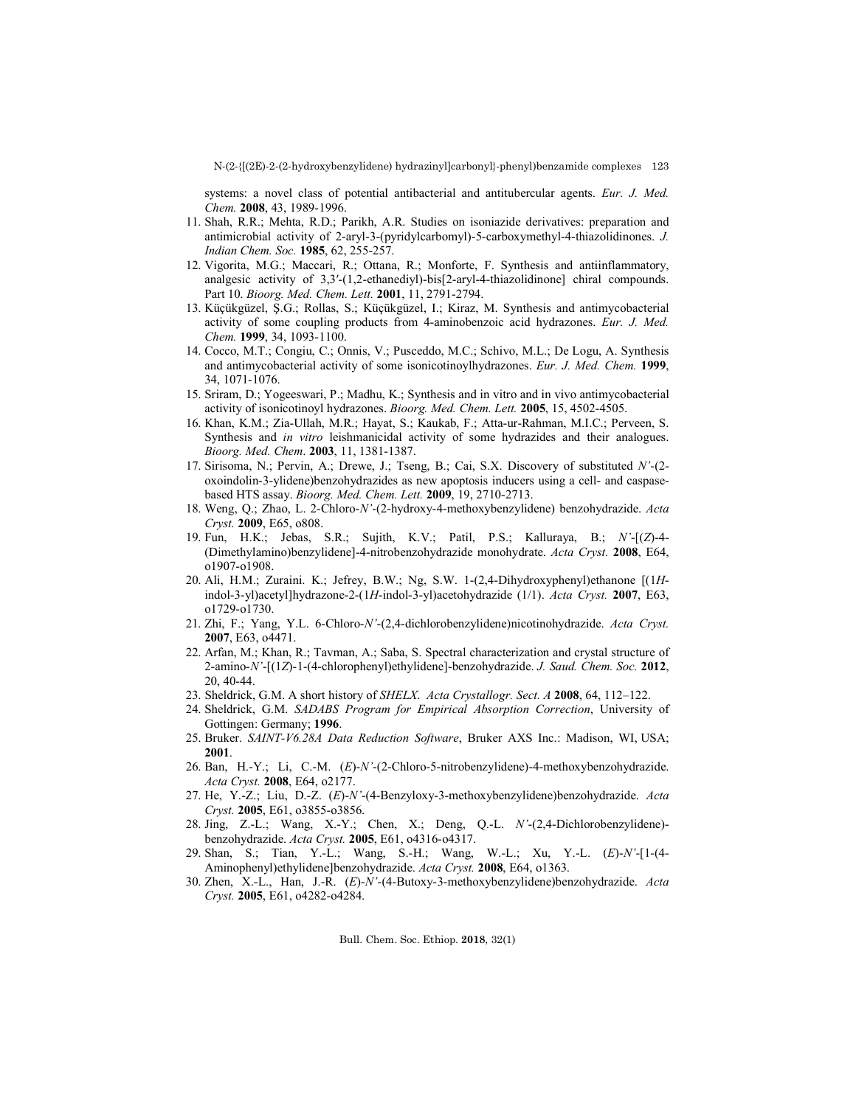systems: a novel class of potential antibacterial and antitubercular agents. *Eur. J. Med. Chem.* **2008**, 43, 1989-1996.

- 11. Shah, R.R.; Mehta, R.D.; Parikh, A.R. Studies on isoniazide derivatives: preparation and antimicrobial activity of 2-aryl-3-(pyridylcarbomyl)-5-carboxymethyl-4-thiazolidinones. *J. Indian Chem. Soc.* **1985**, 62, 255-257.
- 12. Vigorita, M.G.; Maccari, R.; Ottana, R.; Monforte, F. Synthesis and antiinflammatory, analgesic activity of 3,3′-(1,2-ethanediyl)-bis[2-aryl-4-thiazolidinone] chiral compounds. Part 10. *Bioorg. Med. Chem. Lett.* **2001**, 11, 2791-2794.
- 13. Küçükgüzel, Ş.G.; Rollas, S.; Küçükgüzel, I.; Kiraz, M. Synthesis and antimycobacterial activity of some coupling products from 4-aminobenzoic acid hydrazones. *Eur. J. Med. Chem.* **1999**, 34, 1093-1100.
- 14. Cocco, M.T.; Congiu, C.; Onnis, V.; Pusceddo, M.C.; Schivo, M.L.; De Logu, A. Synthesis and antimycobacterial activity of some isonicotinoylhydrazones. *Eur. J. Med. Chem.* **1999**, 34, 1071-1076.
- 15. Sriram, D.; Yogeeswari, P.; Madhu, K.; Synthesis and in vitro and in vivo antimycobacterial activity of isonicotinoyl hydrazones. *Bioorg. Med. Chem. Lett.* **2005**, 15, 4502-4505.
- 16. Khan, K.M.; Zia-Ullah, M.R.; Hayat, S.; Kaukab, F.; Atta-ur-Rahman, M.I.C.; Perveen, S. Synthesis and *in vitro* leishmanicidal activity of some hydrazides and their analogues. *Bioorg. Med. Chem*. **2003**, 11, 1381-1387.
- 17. Sirisoma, N.; Pervin, A.; Drewe, J.; Tseng, B.; Cai, S.X. Discovery of substituted *N'*-(2 oxoindolin-3-ylidene)benzohydrazides as new apoptosis inducers using a cell- and caspasebased HTS assay. *Bioorg. Med. Chem. Lett.* **2009**, 19, 2710-2713.
- 18. Weng, Q.; Zhao, L. 2-Chloro-*N'*-(2-hydroxy-4-methoxybenzylidene) benzohydrazide. *Acta Cryst.* **2009**, E65, o808.
- 19. Fun, H.K.; Jebas, S.R.; Sujith, K.V.; Patil, P.S.; Kalluraya, B.; *N'*-[(*Z*)-4- (Dimethylamino)benzylidene]-4-nitrobenzohydrazide monohydrate. *Acta Cryst.* **2008**, E64, o1907-o1908.
- 20. Ali, H.M.; Zuraini. K.; Jefrey, B.W.; Ng, S.W. 1-(2,4-Dihydroxyphenyl)ethanone [(1*H*indol-3-yl)acetyl]hydrazone-2-(1*H*-indol-3-yl)acetohydrazide (1/1). *Acta Cryst.* **2007**, E63, o1729-o1730.
- 21. Zhi, F.; Yang, Y.L. 6-Chloro-*N'*-(2,4-dichlorobenzylidene)nicotinohydrazide. *Acta Cryst.* **2007**, E63, o4471.
- 22. Arfan, M.; Khan, R.; Tavman, A.; Saba, S. Spectral characterization and crystal structure of 2-amino-*N'*-[(1*Z*)-1-(4-chlorophenyl)ethylidene]-benzohydrazide. *J. Saud. Chem. Soc.* **2012**, 20, 40-44.
- 23. Sheldrick, G.M. A short history of *SHELX*. *Acta Crystallogr. Sect. A* **2008**, 64, 112–122.
- 24. Sheldrick, G.M. *SADABS Program for Empirical Absorption Correction*, University of Gottingen: Germany; **1996**.
- 25. Bruker. *SAINT-V6.28A Data Reduction Software*, Bruker AXS Inc.: Madison, WI, USA; **2001**.
- 26. Ban, H.-Y.; Li, C.-M. (*E*)-*N'*-(2-Chloro-5-nitrobenzylidene)-4-methoxybenzohydrazide. *Acta Cryst.* **2008**, E64, o2177.
- 27. He, Y.-Z.; Liu, D.-Z. (*E*)-*N'*-(4-Benzyloxy-3-methoxybenzylidene)benzohydrazide. *Acta Cryst.* **2005**, E61, o3855-o3856.
- 28. Jing, Z.-L.; Wang, X.-Y.; Chen, X.; Deng, Q.-L. *N'*-(2,4-Dichlorobenzylidene) benzohydrazide. *Acta Cryst.* **2005**, E61, o4316-o4317.
- 29. Shan, S.; Tian, Y.-L.; Wang, S.-H.; Wang, W.-L.; Xu, Y.-L. (*E*)-*N'*-[1-(4- Aminophenyl)ethylidene]benzohydrazide. *Acta Cryst.* **2008**, E64, o1363.
- 30. Zhen, X.-L., Han, J.-R. (*E*)-*N'*-(4-Butoxy-3-methoxybenzylidene)benzohydrazide. *Acta Cryst.* **2005**, E61, o4282-o4284.